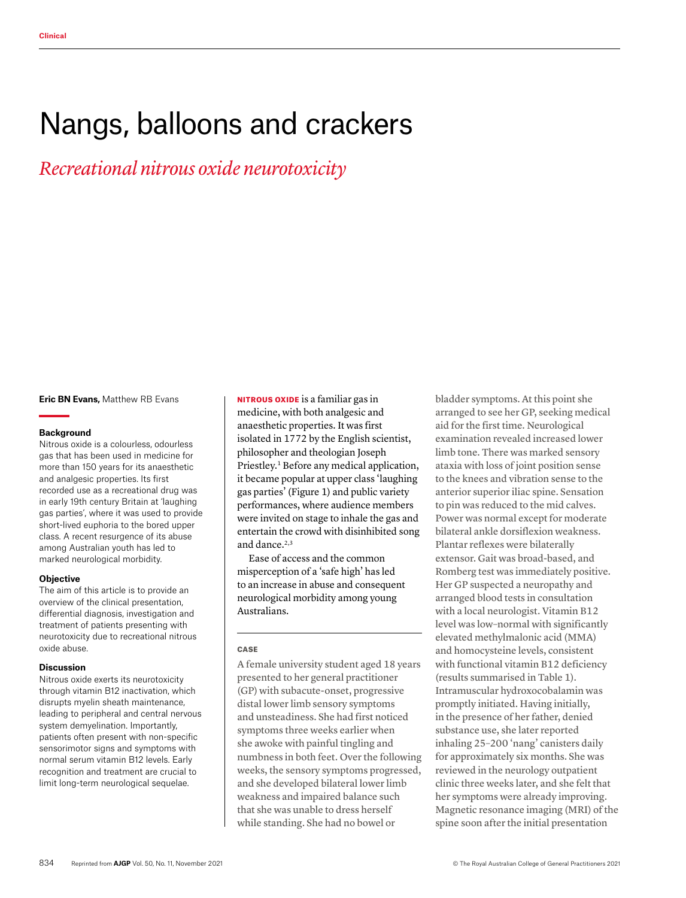# Nangs, balloons and crackers

*Recreational nitrous oxide neurotoxicity*

**Eric BN Evans,** Matthew RB Evans

#### **Background**

Nitrous oxide is a colourless, odourless gas that has been used in medicine for more than 150 years for its anaesthetic and analgesic properties. Its first recorded use as a recreational drug was in early 19th century Britain at 'laughing gas parties', where it was used to provide short-lived euphoria to the bored upper class. A recent resurgence of its abuse among Australian youth has led to marked neurological morbidity.

#### **Objective**

The aim of this article is to provide an overview of the clinical presentation, differential diagnosis, investigation and treatment of patients presenting with neurotoxicity due to recreational nitrous oxide abuse.

#### **Discussion**

Nitrous oxide exerts its neurotoxicity through vitamin B12 inactivation, which disrupts myelin sheath maintenance, leading to peripheral and central nervous system demyelination. Importantly, patients often present with non-specific sensorimotor signs and symptoms with normal serum vitamin B12 levels. Early recognition and treatment are crucial to limit long-term neurological sequelae.

NITROUS OXIDE is a familiar gas in medicine, with both analgesic and anaesthetic properties. It was first isolated in 1772 by the English scientist, philosopher and theologian Joseph Priestley.<sup>1</sup> Before any medical application, it became popular at upper class 'laughing gas parties' (Figure 1) and public variety performances, where audience members were invited on stage to inhale the gas and entertain the crowd with disinhibited song and dance.<sup>2,3</sup>

Ease of access and the common misperception of a 'safe high' has led to an increase in abuse and consequent neurological morbidity among young Australians.

#### **CASE**

A female university student aged 18 years presented to her general practitioner (GP) with subacute-onset, progressive distal lower limb sensory symptoms and unsteadiness. She had first noticed symptoms three weeks earlier when she awoke with painful tingling and numbness in both feet. Over the following weeks, the sensory symptoms progressed, and she developed bilateral lower limb weakness and impaired balance such that she was unable to dress herself while standing. She had no bowel or

bladder symptoms. At this point she arranged to see her GP, seeking medical aid for the first time. Neurological examination revealed increased lower limb tone. There was marked sensory ataxia with loss of joint position sense to the knees and vibration sense to the anterior superior iliac spine. Sensation to pin was reduced to the mid calves. Power was normal except for moderate bilateral ankle dorsiflexion weakness. Plantar reflexes were bilaterally extensor. Gait was broad-based, and Romberg test was immediately positive. Her GP suspected a neuropathy and arranged blood tests in consultation with a local neurologist. Vitamin B12 level was low–normal with significantly elevated methylmalonic acid (MMA) and homocysteine levels, consistent with functional vitamin B12 deficiency (results summarised in Table 1). Intramuscular hydroxocobalamin was promptly initiated. Having initially, in the presence of her father, denied substance use, she later reported inhaling 25–200 'nang' canisters daily for approximately six months. She was reviewed in the neurology outpatient clinic three weeks later, and she felt that her symptoms were already improving. Magnetic resonance imaging (MRI) of the spine soon after the initial presentation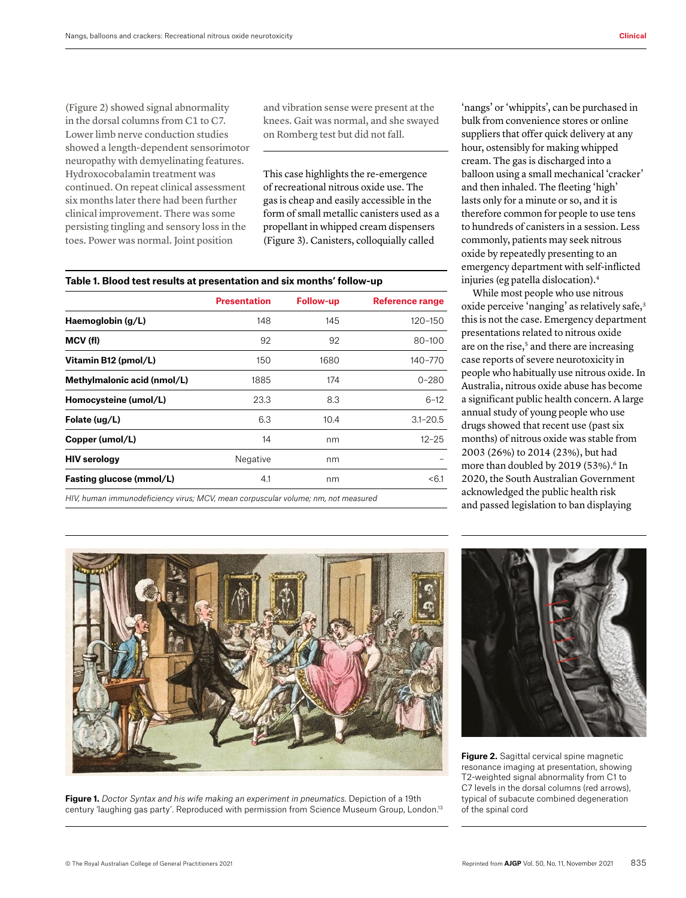(Figure 2) showed signal abnormality in the dorsal columns from C1 to C7. Lower limb nerve conduction studies showed a length-dependent sensorimotor neuropathy with demyelinating features. Hydroxocobalamin treatment was continued. On repeat clinical assessment six months later there had been further clinical improvement. There was some persisting tingling and sensory loss in the toes. Power was normal. Joint position

and vibration sense were present at the knees. Gait was normal, and she swayed on Romberg test but did not fall.

This case highlights the re-emergence of recreational nitrous oxide use. The gas is cheap and easily accessible in the form of small metallic canisters used as a propellant in whipped cream dispensers (Figure 3). Canisters, colloquially called

|  | Table 1. Blood test results at presentation and six months' follow-up |  |
|--|-----------------------------------------------------------------------|--|
|  |                                                                       |  |

|                             | Presentation | <b>Follow-up</b> | <b>Reference range</b> |
|-----------------------------|--------------|------------------|------------------------|
| Haemoglobin (g/L)           | 148          | 145              | 120-150                |
| MCV (fl)                    | 92           | 92               | $80 - 100$             |
| Vitamin B12 (pmol/L)        | 150          | 1680             | 140-770                |
| Methylmalonic acid (nmol/L) | 1885         | 174              | $0 - 280$              |
| Homocysteine (umol/L)       | 23.3         | 8.3              | $6 - 12$               |
| Folate (ug/L)               | 6.3          | 10.4             | $3.1 - 20.5$           |
| Copper (umol/L)             | 14           | nm               | $12 - 25$              |
| <b>HIV serology</b>         | Negative     | nm               |                        |
| Fasting glucose (mmol/L)    | 4.1          | nm               | < 6.1                  |
|                             |              |                  |                        |

*HIV, human immunodeficiency virus; MCV, mean corpuscular volume; nm, not measured*

'nangs' or 'whippits', can be purchased in bulk from convenience stores or online suppliers that offer quick delivery at any hour, ostensibly for making whipped cream. The gas is discharged into a balloon using a small mechanical 'cracker' and then inhaled. The fleeting 'high' lasts only for a minute or so, and it is therefore common for people to use tens to hundreds of canisters in a session. Less commonly, patients may seek nitrous oxide by repeatedly presenting to an emergency department with self-inflicted injuries (eg patella dislocation).4

While most people who use nitrous oxide perceive 'nanging' as relatively safe,<sup>3</sup> this is not the case. Emergency department presentations related to nitrous oxide are on the rise,<sup>5</sup> and there are increasing case reports of severe neurotoxicity in people who habitually use nitrous oxide. In Australia, nitrous oxide abuse has become a significant public health concern. A large annual study of young people who use drugs showed that recent use (past six months) of nitrous oxide was stable from 2003 (26%) to 2014 (23%), but had more than doubled by 2019 (53%).<sup>6</sup> In 2020, the South Australian Government acknowledged the public health risk and passed legislation to ban displaying



**Figure 1.** *Doctor Syntax and his wife making an experiment in pneumatics*. Depiction of a 19th century 'laughing gas party'. Reproduced with permission from Science Museum Group, London.13



**Figure 2.** Sagittal cervical spine magnetic resonance imaging at presentation, showing T2-weighted signal abnormality from C1 to C7 levels in the dorsal columns (red arrows), typical of subacute combined degeneration of the spinal cord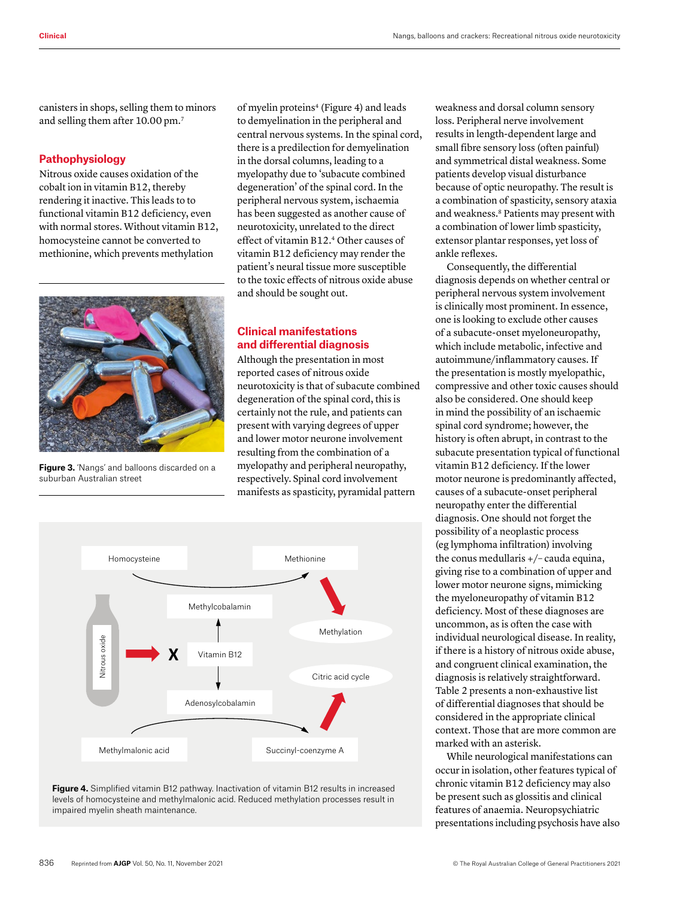canisters in shops, selling them to minors and selling them after 10.00 pm.7

## **Pathophysiology**

Nitrous oxide causes oxidation of the cobalt ion in vitamin B12, thereby rendering it inactive. This leads to to functional vitamin B12 deficiency, even with normal stores. Without vitamin B12, homocysteine cannot be converted to methionine, which prevents methylation



**Figure 3.** 'Nangs' and balloons discarded on a suburban Australian street

of myelin proteins<sup>4</sup> (Figure 4) and leads to demyelination in the peripheral and central nervous systems. In the spinal cord, there is a predilection for demyelination in the dorsal columns, leading to a myelopathy due to 'subacute combined degeneration' of the spinal cord. In the peripheral nervous system, ischaemia has been suggested as another cause of neurotoxicity, unrelated to the direct effect of vitamin B12.4 Other causes of vitamin B12 deficiency may render the patient's neural tissue more susceptible to the toxic effects of nitrous oxide abuse and should be sought out.

# **Clinical manifestations and differential diagnosis**

Although the presentation in most reported cases of nitrous oxide neurotoxicity is that of subacute combined degeneration of the spinal cord, this is certainly not the rule, and patients can present with varying degrees of upper and lower motor neurone involvement resulting from the combination of a myelopathy and peripheral neuropathy, respectively. Spinal cord involvement manifests as spasticity, pyramidal pattern





weakness and dorsal column sensory loss. Peripheral nerve involvement results in length-dependent large and small fibre sensory loss (often painful) and symmetrical distal weakness. Some patients develop visual disturbance because of optic neuropathy. The result is a combination of spasticity, sensory ataxia and weakness.8 Patients may present with a combination of lower limb spasticity, extensor plantar responses, yet loss of ankle reflexes.

Consequently, the differential diagnosis depends on whether central or peripheral nervous system involvement is clinically most prominent. In essence, one is looking to exclude other causes of a subacute-onset myeloneuropathy, which include metabolic, infective and autoimmune/inflammatory causes. If the presentation is mostly myelopathic, compressive and other toxic causes should also be considered. One should keep in mind the possibility of an ischaemic spinal cord syndrome; however, the history is often abrupt, in contrast to the subacute presentation typical of functional vitamin B12 deficiency. If the lower motor neurone is predominantly affected, causes of a subacute-onset peripheral neuropathy enter the differential diagnosis. One should not forget the possibility of a neoplastic process (eg lymphoma infiltration) involving the conus medullaris +/– cauda equina, giving rise to a combination of upper and lower motor neurone signs, mimicking the myeloneuropathy of vitamin B12 deficiency. Most of these diagnoses are uncommon, as is often the case with individual neurological disease. In reality, if there is a history of nitrous oxide abuse, and congruent clinical examination, the diagnosis is relatively straightforward. Table 2 presents a non-exhaustive list of differential diagnoses that should be considered in the appropriate clinical context. Those that are more common are marked with an asterisk.

While neurological manifestations can occur in isolation, other features typical of chronic vitamin B12 deficiency may also be present such as glossitis and clinical features of anaemia. Neuropsychiatric presentations including psychosis have also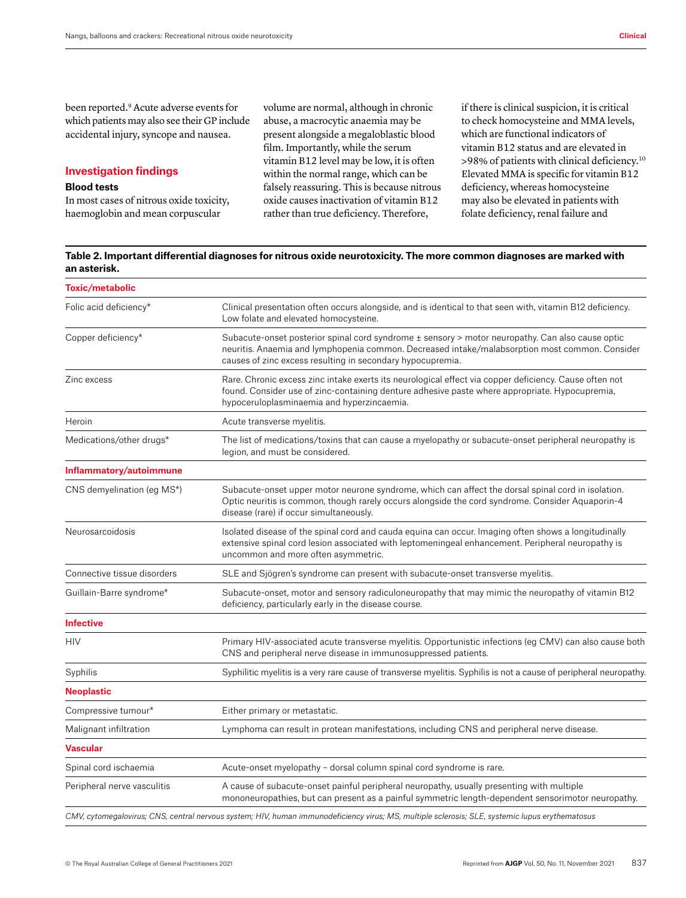been reported.9 Acute adverse events for which patients may also see their GP include accidental injury, syncope and nausea.

### **Investigation findings**

#### **Blood tests**

In most cases of nitrous oxide toxicity, haemoglobin and mean corpuscular

volume are normal, although in chronic abuse, a macrocytic anaemia may be present alongside a megaloblastic blood film. Importantly, while the serum vitamin B12 level may be low, it is often within the normal range, which can be falsely reassuring. This is because nitrous oxide causes inactivation of vitamin B12 rather than true deficiency. Therefore,

if there is clinical suspicion, it is critical to check homocysteine and MMA levels, which are functional indicators of vitamin B12 status and are elevated in >98% of patients with clinical deficiency.10 Elevated MMA is specific for vitamin B12 deficiency, whereas homocysteine may also be elevated in patients with folate deficiency, renal failure and

### **Table 2. Important differential diagnoses for nitrous oxide neurotoxicity. The more common diagnoses are marked with an asterisk.**

| <b>Toxic/metabolic</b>      |                                                                                                                                                                                                                                                                  |  |
|-----------------------------|------------------------------------------------------------------------------------------------------------------------------------------------------------------------------------------------------------------------------------------------------------------|--|
| Folic acid deficiency*      | Clinical presentation often occurs alongside, and is identical to that seen with, vitamin B12 deficiency.<br>Low folate and elevated homocysteine.                                                                                                               |  |
| Copper deficiency*          | Subacute-onset posterior spinal cord syndrome ± sensory > motor neuropathy. Can also cause optic<br>neuritis. Anaemia and lymphopenia common. Decreased intake/malabsorption most common. Consider<br>causes of zinc excess resulting in secondary hypocupremia. |  |
| Zinc excess                 | Rare. Chronic excess zinc intake exerts its neurological effect via copper deficiency. Cause often not<br>found. Consider use of zinc-containing denture adhesive paste where appropriate. Hypocupremia,<br>hypoceruloplasminaemia and hyperzincaemia.           |  |
| Heroin                      | Acute transverse myelitis.                                                                                                                                                                                                                                       |  |
| Medications/other drugs*    | The list of medications/toxins that can cause a myelopathy or subacute-onset peripheral neuropathy is<br>legion, and must be considered.                                                                                                                         |  |
| Inflammatory/autoimmune     |                                                                                                                                                                                                                                                                  |  |
| CNS demyelination (eg MS*)  | Subacute-onset upper motor neurone syndrome, which can affect the dorsal spinal cord in isolation.<br>Optic neuritis is common, though rarely occurs alongside the cord syndrome. Consider Aquaporin-4<br>disease (rare) if occur simultaneously.                |  |
| Neurosarcoidosis            | Isolated disease of the spinal cord and cauda equina can occur. Imaging often shows a longitudinally<br>extensive spinal cord lesion associated with leptomeningeal enhancement. Peripheral neuropathy is<br>uncommon and more often asymmetric.                 |  |
| Connective tissue disorders | SLE and Sjögren's syndrome can present with subacute-onset transverse myelitis.                                                                                                                                                                                  |  |
| Guillain-Barre syndrome*    | Subacute-onset, motor and sensory radiculoneuropathy that may mimic the neuropathy of vitamin B12<br>deficiency, particularly early in the disease course.                                                                                                       |  |
| <b>Infective</b>            |                                                                                                                                                                                                                                                                  |  |
| <b>HIV</b>                  | Primary HIV-associated acute transverse myelitis. Opportunistic infections (eg CMV) can also cause both<br>CNS and peripheral nerve disease in immunosuppressed patients.                                                                                        |  |
| Syphilis                    | Syphilitic myelitis is a very rare cause of transverse myelitis. Syphilis is not a cause of peripheral neuropathy.                                                                                                                                               |  |
| <b>Neoplastic</b>           |                                                                                                                                                                                                                                                                  |  |
| Compressive tumour*         | Either primary or metastatic.                                                                                                                                                                                                                                    |  |
| Malignant infiltration      | Lymphoma can result in protean manifestations, including CNS and peripheral nerve disease.                                                                                                                                                                       |  |
| <b>Vascular</b>             |                                                                                                                                                                                                                                                                  |  |
| Spinal cord ischaemia       | Acute-onset myelopathy - dorsal column spinal cord syndrome is rare.                                                                                                                                                                                             |  |
| Peripheral nerve vasculitis | A cause of subacute-onset painful peripheral neuropathy, usually presenting with multiple<br>mononeuropathies, but can present as a painful symmetric length-dependent sensorimotor neuropathy.                                                                  |  |
|                             | CMV, cytomegalovirus; CNS, central nervous system; HIV, human immunodeficiency virus; MS, multiple sclerosis; SLE, systemic lupus erythematosus                                                                                                                  |  |